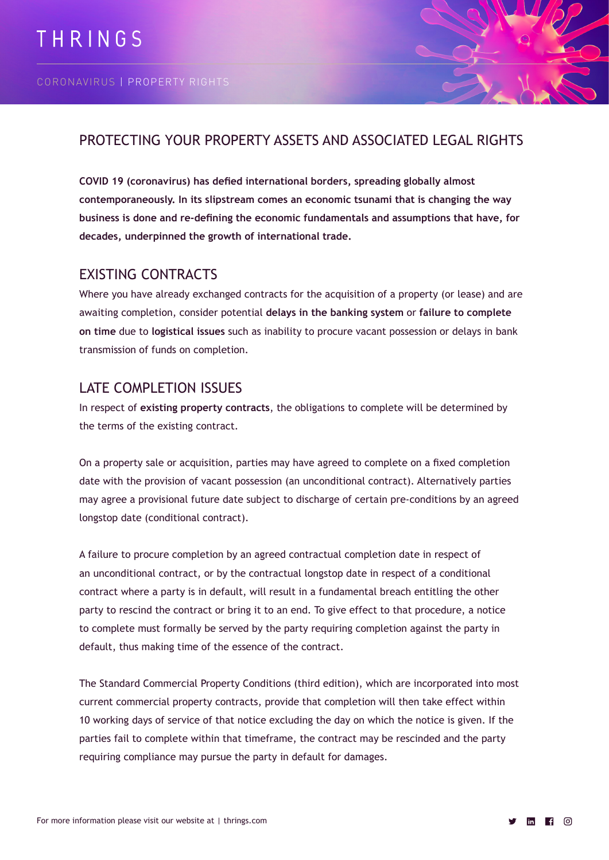

# PROTECTING YOUR PROPERTY ASSETS AND ASSOCIATED LEGAL RIGHTS

**COVID 19 (coronavirus) has defied international borders, spreading globally almost contemporaneously. In its slipstream comes an economic tsunami that is changing the way business is done and re-defining the economic fundamentals and assumptions that have, for decades, underpinned the growth of international trade.**

## EXISTING CONTRACTS

Where you have already exchanged contracts for the acquisition of a property (or lease) and are awaiting completion, consider potential **delays in the banking system** or **failure to complete on time** due to **logistical issues** such as inability to procure vacant possession or delays in bank transmission of funds on completion.

# LATE COMPLETION ISSUES

In respect of **existing property contracts**, the obligations to complete will be determined by the terms of the existing contract.

On a property sale or acquisition, parties may have agreed to complete on a fixed completion date with the provision of vacant possession (an unconditional contract). Alternatively parties may agree a provisional future date subject to discharge of certain pre-conditions by an agreed longstop date (conditional contract).

A failure to procure completion by an agreed contractual completion date in respect of an unconditional contract, or by the contractual longstop date in respect of a conditional contract where a party is in default, will result in a fundamental breach entitling the other party to rescind the contract or bring it to an end. To give effect to that procedure, a notice to complete must formally be served by the party requiring completion against the party in default, thus making time of the essence of the contract.

The Standard Commercial Property Conditions (third edition), which are incorporated into most current commercial property contracts, provide that completion will then take effect within 10 working days of service of that notice excluding the day on which the notice is given. If the parties fail to complete within that timeframe, the contract may be rescinded and the party requiring compliance may pursue the party in default for damages.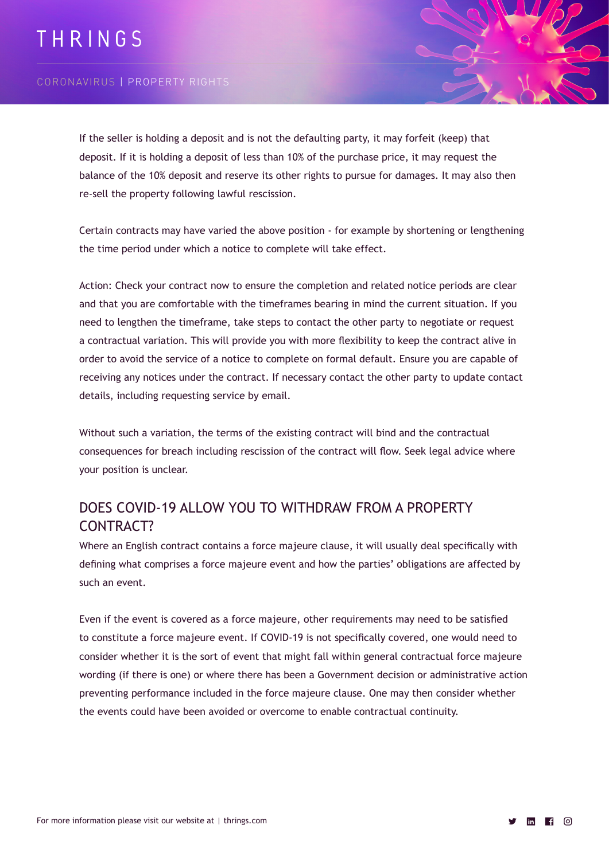# THRINGS

#### CORONAVIRUS | PROPERTY RIGHTS

If the seller is holding a deposit and is not the defaulting party, it may forfeit (keep) that deposit. If it is holding a deposit of less than 10% of the purchase price, it may request the balance of the 10% deposit and reserve its other rights to pursue for damages. It may also then re-sell the property following lawful rescission.

Certain contracts may have varied the above position - for example by shortening or lengthening the time period under which a notice to complete will take effect.

Action: Check your contract now to ensure the completion and related notice periods are clear and that you are comfortable with the timeframes bearing in mind the current situation. If you need to lengthen the timeframe, take steps to contact the other party to negotiate or request a contractual variation. This will provide you with more flexibility to keep the contract alive in order to avoid the service of a notice to complete on formal default. Ensure you are capable of receiving any notices under the contract. If necessary contact the other party to update contact details, including requesting service by email.

Without such a variation, the terms of the existing contract will bind and the contractual consequences for breach including rescission of the contract will flow. Seek legal advice where your position is unclear.

# DOES COVID-19 ALLOW YOU TO WITHDRAW FROM A PROPERTY CONTRACT?

Where an English contract contains a force majeure clause, it will usually deal specifically with defining what comprises a force majeure event and how the parties' obligations are affected by such an event.

Even if the event is covered as a force majeure, other requirements may need to be satisfied to constitute a force majeure event. If COVID-19 is not specifically covered, one would need to consider whether it is the sort of event that might fall within general contractual force majeure wording (if there is one) or where there has been a Government decision or administrative action preventing performance included in the force majeure clause. One may then consider whether the events could have been avoided or overcome to enable contractual continuity.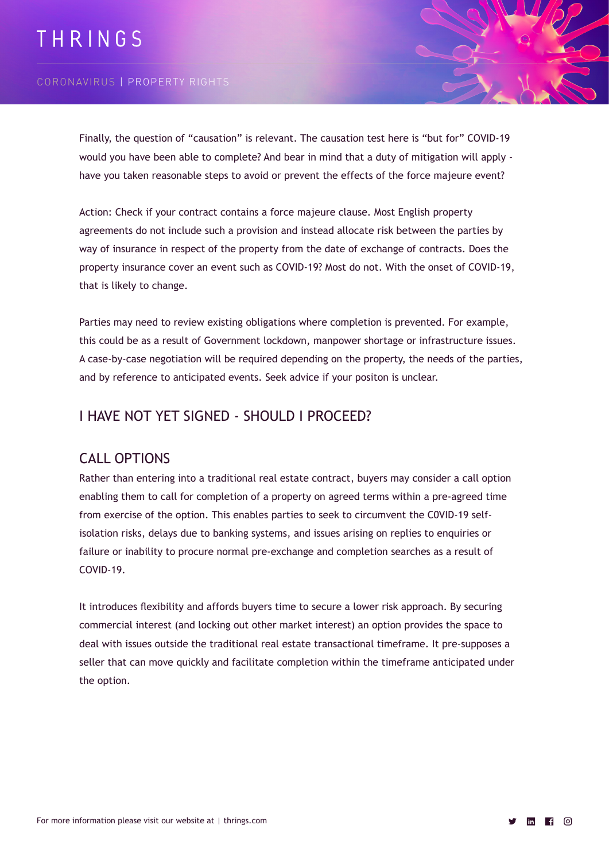# THRINGS

#### CORONAVIRUS | PROPERTY RIGHTS

Finally, the question of "causation" is relevant. The causation test here is "but for" COVID-19 would you have been able to complete? And bear in mind that a duty of mitigation will apply have you taken reasonable steps to avoid or prevent the effects of the force majeure event?

Action: Check if your contract contains a force majeure clause. Most English property agreements do not include such a provision and instead allocate risk between the parties by way of insurance in respect of the property from the date of exchange of contracts. Does the property insurance cover an event such as COVID-19? Most do not. With the onset of COVID-19, that is likely to change.

Parties may need to review existing obligations where completion is prevented. For example, this could be as a result of Government lockdown, manpower shortage or infrastructure issues. A case-by-case negotiation will be required depending on the property, the needs of the parties, and by reference to anticipated events. Seek advice if your positon is unclear.

#### I HAVE NOT YET SIGNED - SHOULD I PROCEED?

#### CALL OPTIONS

Rather than entering into a traditional real estate contract, buyers may consider a call option enabling them to call for completion of a property on agreed terms within a pre-agreed time from exercise of the option. This enables parties to seek to circumvent the C0VID-19 selfisolation risks, delays due to banking systems, and issues arising on replies to enquiries or failure or inability to procure normal pre-exchange and completion searches as a result of COVID-19.

It introduces flexibility and affords buyers time to secure a lower risk approach. By securing commercial interest (and locking out other market interest) an option provides the space to deal with issues outside the traditional real estate transactional timeframe. It pre-supposes a seller that can move quickly and facilitate completion within the timeframe anticipated under the option.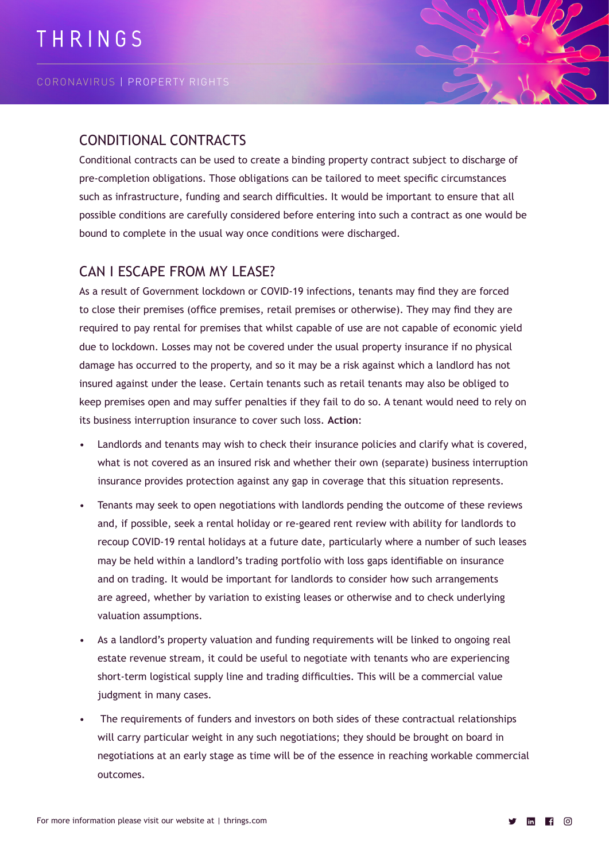

Conditional contracts can be used to create a binding property contract subject to discharge of pre-completion obligations. Those obligations can be tailored to meet specific circumstances such as infrastructure, funding and search difficulties. It would be important to ensure that all possible conditions are carefully considered before entering into such a contract as one would be bound to complete in the usual way once conditions were discharged.

## CAN I ESCAPE FROM MY LEASE?

As a result of Government lockdown or COVID-19 infections, tenants may find they are forced to close their premises (office premises, retail premises or otherwise). They may find they are required to pay rental for premises that whilst capable of use are not capable of economic yield due to lockdown. Losses may not be covered under the usual property insurance if no physical damage has occurred to the property, and so it may be a risk against which a landlord has not insured against under the lease. Certain tenants such as retail tenants may also be obliged to keep premises open and may suffer penalties if they fail to do so. A tenant would need to rely on its business interruption insurance to cover such loss. **Action**:

- Landlords and tenants may wish to check their insurance policies and clarify what is covered, what is not covered as an insured risk and whether their own (separate) business interruption insurance provides protection against any gap in coverage that this situation represents.
- Tenants may seek to open negotiations with landlords pending the outcome of these reviews and, if possible, seek a rental holiday or re-geared rent review with ability for landlords to recoup COVID-19 rental holidays at a future date, particularly where a number of such leases may be held within a landlord's trading portfolio with loss gaps identifiable on insurance and on trading. It would be important for landlords to consider how such arrangements are agreed, whether by variation to existing leases or otherwise and to check underlying valuation assumptions.
- As a landlord's property valuation and funding requirements will be linked to ongoing real estate revenue stream, it could be useful to negotiate with tenants who are experiencing short-term logistical supply line and trading difficulties. This will be a commercial value judgment in many cases.
- The requirements of funders and investors on both sides of these contractual relationships will carry particular weight in any such negotiations; they should be brought on board in negotiations at an early stage as time will be of the essence in reaching workable commercial outcomes.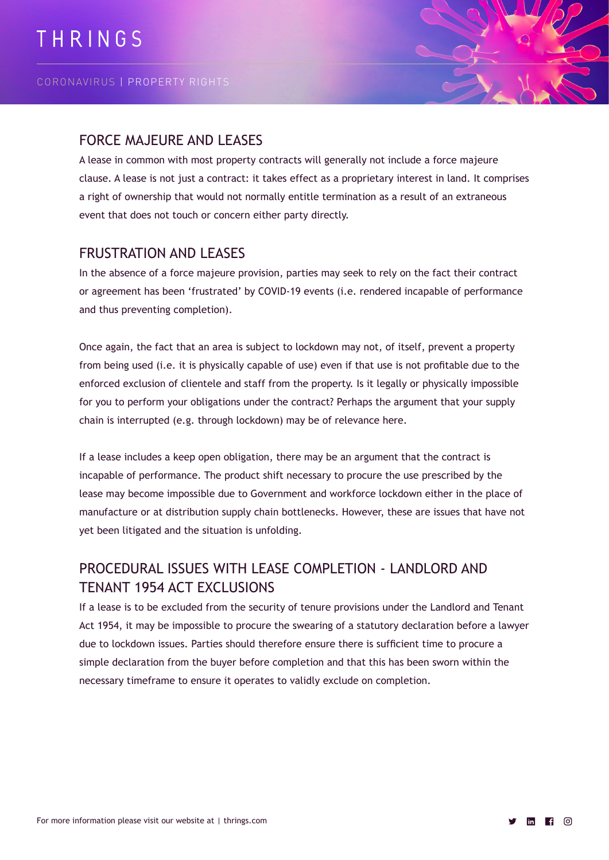

## FORCE MAJEURE AND LEASES

A lease in common with most property contracts will generally not include a force majeure clause. A lease is not just a contract: it takes effect as a proprietary interest in land. It comprises a right of ownership that would not normally entitle termination as a result of an extraneous event that does not touch or concern either party directly.

## FRUSTRATION AND LEASES

In the absence of a force majeure provision, parties may seek to rely on the fact their contract or agreement has been 'frustrated' by COVID-19 events (i.e. rendered incapable of performance and thus preventing completion).

Once again, the fact that an area is subject to lockdown may not, of itself, prevent a property from being used (i.e. it is physically capable of use) even if that use is not profitable due to the enforced exclusion of clientele and staff from the property. Is it legally or physically impossible for you to perform your obligations under the contract? Perhaps the argument that your supply chain is interrupted (e.g. through lockdown) may be of relevance here.

If a lease includes a keep open obligation, there may be an argument that the contract is incapable of performance. The product shift necessary to procure the use prescribed by the lease may become impossible due to Government and workforce lockdown either in the place of manufacture or at distribution supply chain bottlenecks. However, these are issues that have not yet been litigated and the situation is unfolding.

# PROCEDURAL ISSUES WITH LEASE COMPLETION - LANDLORD AND TENANT 1954 ACT EXCLUSIONS

If a lease is to be excluded from the security of tenure provisions under the Landlord and Tenant Act 1954, it may be impossible to procure the swearing of a statutory declaration before a lawyer due to lockdown issues. Parties should therefore ensure there is sufficient time to procure a simple declaration from the buyer before completion and that this has been sworn within the necessary timeframe to ensure it operates to validly exclude on completion.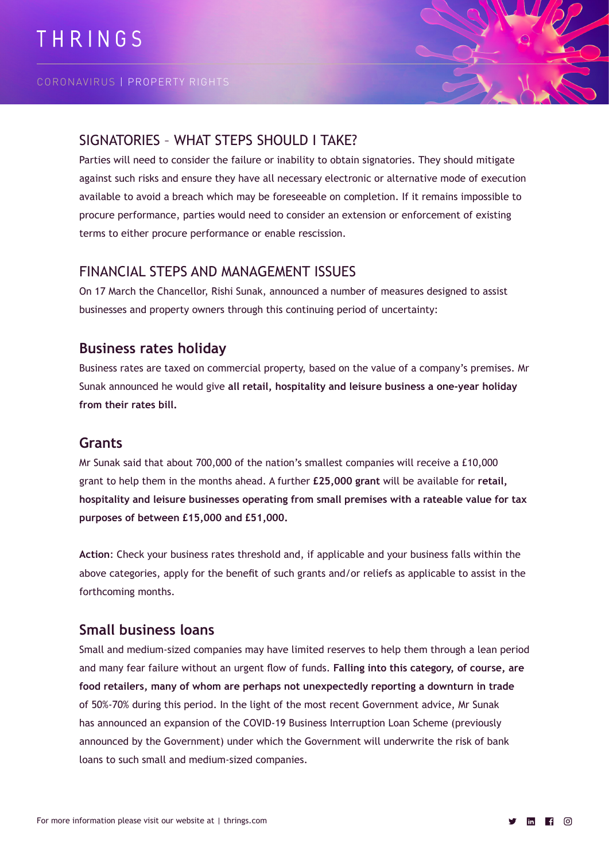

## SIGNATORIES – WHAT STEPS SHOULD I TAKE?

Parties will need to consider the failure or inability to obtain signatories. They should mitigate against such risks and ensure they have all necessary electronic or alternative mode of execution available to avoid a breach which may be foreseeable on completion. If it remains impossible to procure performance, parties would need to consider an extension or enforcement of existing terms to either procure performance or enable rescission.

## FINANCIAL STEPS AND MANAGEMENT ISSUES

On 17 March the Chancellor, Rishi Sunak, announced a number of measures designed to assist businesses and property owners through this continuing period of uncertainty:

## **Business rates holiday**

Business rates are taxed on commercial property, based on the value of a company's premises. Mr Sunak announced he would give **all retail, hospitality and leisure business a one-year holiday from their rates bill.**

#### **Grants**

Mr Sunak said that about 700,000 of the nation's smallest companies will receive a £10,000 grant to help them in the months ahead. A further **£25,000 grant** will be available for **retail, hospitality and leisure businesses operating from small premises with a rateable value for tax purposes of between £15,000 and £51,000.**

**Action**: Check your business rates threshold and, if applicable and your business falls within the above categories, apply for the benefit of such grants and/or reliefs as applicable to assist in the forthcoming months.

## **Small business loans**

Small and medium-sized companies may have limited reserves to help them through a lean period and many fear failure without an urgent flow of funds. **Falling into this category, of course, are food retailers, many of whom are perhaps not unexpectedly reporting a downturn in trade** of 50%-70% during this period. In the light of the most recent Government advice, Mr Sunak has announced an expansion of the COVID-19 Business Interruption Loan Scheme (previously announced by the Government) under which the Government will underwrite the risk of bank loans to such small and medium-sized companies.